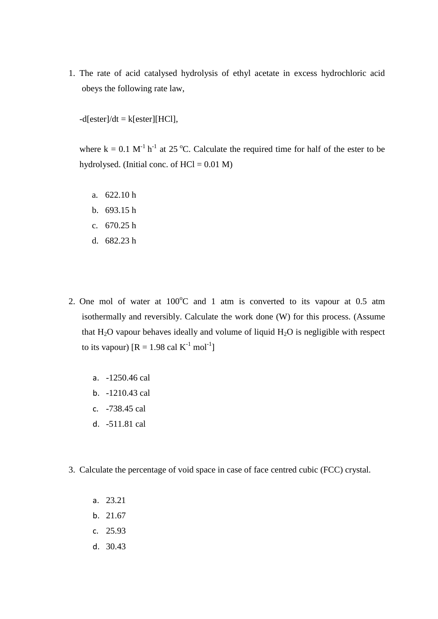1. The rate of acid catalysed hydrolysis of ethyl acetate in excess hydrochloric acid obeys the following rate law,

 $-d[ester]/dt = k[ester][HCl],$ 

where  $k = 0.1$  M<sup>-1</sup> h<sup>-1</sup> at 25 °C. Calculate the required time for half of the ester to be hydrolysed. (Initial conc. of  $HCl = 0.01$  M)

- a. 622.10 h
- b. 693.15 h
- c. 670.25 h
- d. 682.23 h
- 2. One mol of water at  $100^{\circ}$ C and 1 atm is converted to its vapour at 0.5 atm isothermally and reversibly. Calculate the work done (W) for this process. (Assume that  $H_2O$  vapour behaves ideally and volume of liquid  $H_2O$  is negligible with respect to its vapour)  $[R = 1.98 \text{ cal } K^{-1} \text{ mol}^{-1}]$ 
	- a. -1250.46 cal
	- b. -1210.43 cal
	- c. -738.45 cal
	- d. -511.81 cal
- 3. Calculate the percentage of void space in case of face centred cubic (FCC) crystal.
	- a. 23.21
	- b. 21.67
	- c. 25.93
	- d. 30.43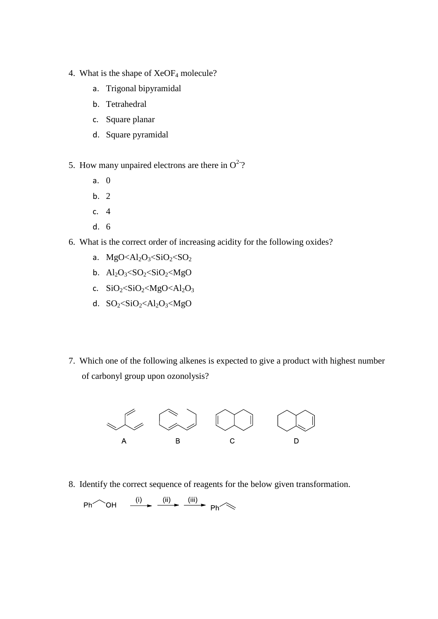- 4. What is the shape of XeOF<sup>4</sup> molecule?
	- a. Trigonal bipyramidal
	- b. Tetrahedral
	- c. Square planar
	- d. Square pyramidal
- 5. How many unpaired electrons are there in  $O^{2-}$ ?
	- a. 0
	- b. 2
	- c. 4
	- d. 6
- 6. What is the correct order of increasing acidity for the following oxides?
	- a.  $MgO<\frac{Al_2O_3}{SO_2}\cdot SiO_2 \cdot SO_2$
	- b.  $Al_2O_3 < SO_2 < SiO_2 < MgO$
	- c.  $SiO_2 < SiO_2 < MgO < Al_2O_3$
	- d.  $SO_2 \leq SiO_2 \leq Al_2O_3 \leq MgO$
- 7. Which one of the following alkenes is expected to give a product with highest number of carbonyl group upon ozonolysis?



8. Identify the correct sequence of reagents for the below given transformation.